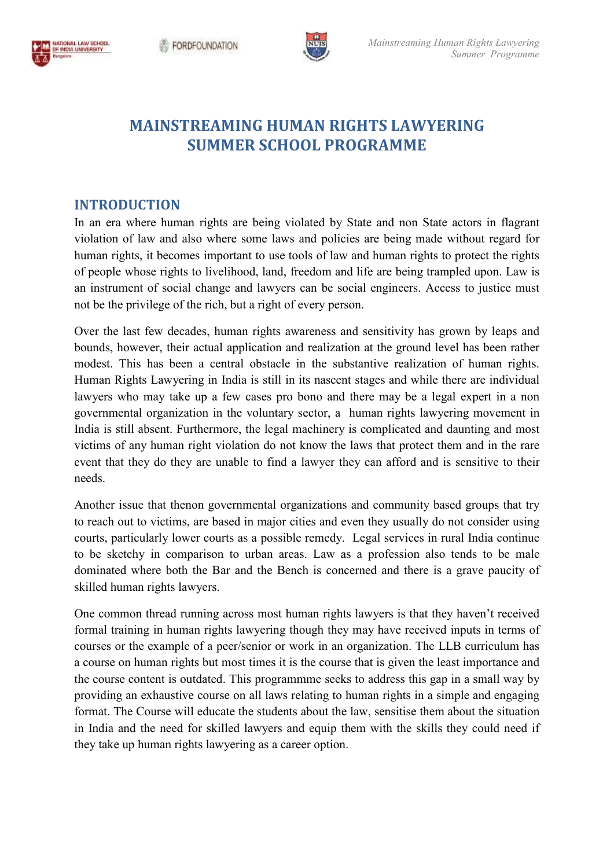



# **MAINSTREAMING HUMAN RIGHTS LAWYERING SUMMER SCHOOL PROGRAMME SCHOOL PROGRAMME**

### **INTRODUCTION**

In an era where human rights are being violated by State and non State actors in flagrant violation of law and also where some laws and policies are being made without regard for human rights, it becomes important to use tools of law and human rights to protect the rights of people whose rights to livelihood, land, freedom and life are being trampled upon. Law is an instrument of social change and lawyers can be social engineers. A not be the privilege of the rich, but a right of every person. an era where human rights are being violated by State and non State actors in flagrant plation of law and also where some laws and policies are being made without regard for man rights, it becomes important to use tools of

Over the last few decades, human rights awareness and sensitivity has grown by leaps and bounds, however, their actual application and realization at the ground level has modest. This has been a central obstacle in the substantive realization of human rights. Human Rights Lawyering in India is still in its nascent stages and while there are individual lawyers who may take up a few cases pro bono and there may be a legal expert in a non governmental organization in the voluntary sector, a human rights lawyering movement in governmental organization in the voluntary sector, a human rights lawyering movement in India is still absent. Furthermore, the legal machinery is complicated and daunting and most victims of any human right violation do not know the laws that protect them and in the rare event that they do they are unable to find a lawyer they can afford and is sensitive to their needs. not be the privilege of the rich, but a right of every person.<br>Over the last few decades, human rights awareness and sensitivity has grown by leaps and<br>bounds, however, their actual application and realization at the groun Exameration of the student of the student in the student of the student of the student of the student of the student of the student of the student of the student of the student of the student of the student of the student ccess to justice must<br>grown by leaps and<br>level has been rather

Another issue that thenon governmental organizations and community based groups that try to reach out to victims, are based in major cities and even they usually do not consider using courts, particularly lower courts as a possible remedy. Legal services in rural India continue to be sketchy in comparison to urban areas. Law as a profession also tends to be male dominated where both the Bar and the Bench is concerned and there is a grave paucity of skilled human rights lawyers. event that they do they are unable to find a lawyer they can afford and is sensitive to their needs.<br>Another issue that thenon governmental organizations and community based groups that try to reach out to victims, are bas in the rare<br>they can afford and is sensitive to their<br>they can afford and is sensitive to their<br>ns and community based groups that try<br>even they usually do not consider using<br>y. Legal services in rural India continue<br>as a

One common thread running across most human rights lawyers is that they haven't received formal training in human rights lawyering though they may have received inputs in terms of courses or the example of a peer/senior or work in an organization. The LLB curriculum has a course on human rights but most times it is the course that is given the least importance and a course on human rights but most times it is the course that is given the least importance and the course content is outdated. This programmme seeks to address this gap in a small way by providing an exhaustive course on all laws relating to human rights in a simple and engaging format. The Course will educate the students about the law, sensitise them about the situation in India and the need for skilled lawyers and equip them with the skills they could need if they take up human rights lawyering as a career option.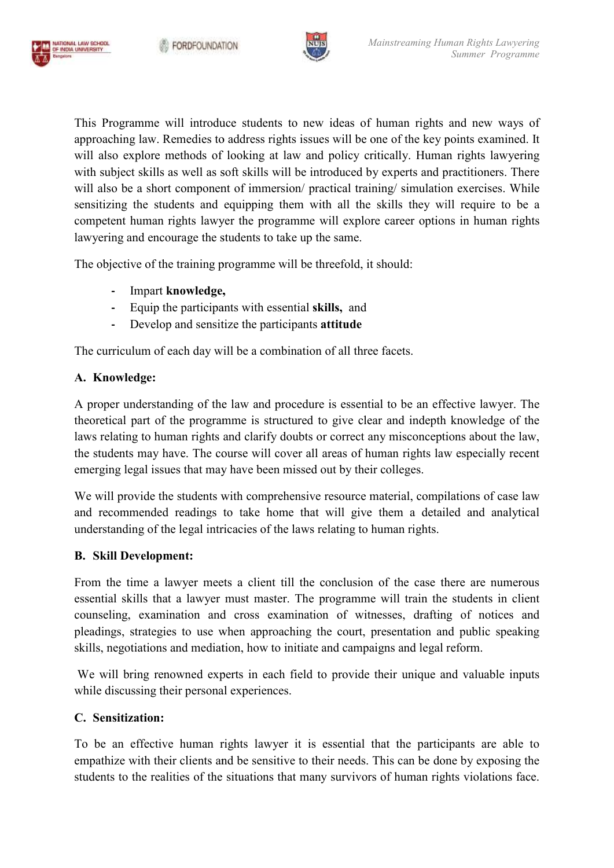

This Programme will introduce students to new ideas of human rights and new ways of approaching law. Remedies to address rights issues will be one of the key points examined. It will also explore methods of looking at law and policy critically. Human rights lawyering with subject skills as well as soft skills will be introduced by experts and practitioners. There will also be a short component of immersion/ practical training/ simulation exercises. While sensitizing the students and equipping them with all the skills they will require to be a sensitizing the students and equipping them with all the skills they will require to be a competent human rights lawyer the programme will explore career options in human rights lawyering and encourage the students to take up the same. will also explore methods of looking at law and policy critically. Human rights lawyering with subject skills as well as soft skills will be introduced by experts and practitioners. There will also be a short component of rights issues will be one of the key points examined. It<br>at law and policy critically. Human rights lawyering<br>will be introduced by experts and practitioners. There<br>nersion/ practical training/ simulation exercises. While

The objective of the training programme will be threefold, it should:

- **-** Impart **knowledge,**
- **-** Equip the participants with essential **skills,** and
- Develop and sensitize the participants **attitude**

The curriculum of each day will be a combination of all three facets.

## **A. Knowledge:**

NATIONAL LAW SCHOOL<br>OF INDIA UNIVERSITY

A proper understanding of the law and procedure is essential to be an effective lawyer. The theoretical part of the programme is structured to give clear and indepth knowledge of the laws relating to human rights and clari theoretical part of the programme is structured to give clear and indepth knowledge of the laws relating to human rights and clarify doubts or correct any misconceptions about the law, the students may have. The course will cover all areas of human rights law especially recent the students may have. The course will cover all areas of human rights emerging legal issues that may have been missed out by their colleges.

We will provide the students with comprehensive resource material, compilations of case law and recommended readings to take home that will give them a detailed and analytical understanding of the legal intricacies of the laws relating to human rights. will provide the students with comprehensive resource material, comprecommended readings to take home that will give them a deta rstanding of the legal intricacies of the laws relating to human rights.

#### **B. Skill Development:**

From the time a lawyer meets a client till the conclusion of the case there are numerous essential skills that a lawyer must master. The programme will train the counseling, examination and cross examination of witnesses, drafting of notices and pleadings, strategies to use when approaching the court, presentation and public speaking counseling, examination and cross examination of witnesses, drafting of n<br>pleadings, strategies to use when approaching the court, presentation and publi<br>skills, negotiations and mediation, how to initiate and campaigns an time a lawyer meets a client till the conclusion of the case there are numerous skills that a lawyer must master. The programme will train the students in client g, examination and cross examination of witnesses, drafting students in client

We will bring renowned experts in each field to provide their unique and valuable inputs while discussing their personal experiences.

## **C. Sensitization:**

To be an effective human rights lawyer it is essential that the participants are able to empathize with their clients and be sensitive to their needs. This can be done students to the realities of the situations that many survivors of human rights violations face. be an effective human rights lawyer it is essential that the participants are able to athize with their clients and be sensitive to their needs. This can be done by exposing the ents to the realities of the situations fact by exposing the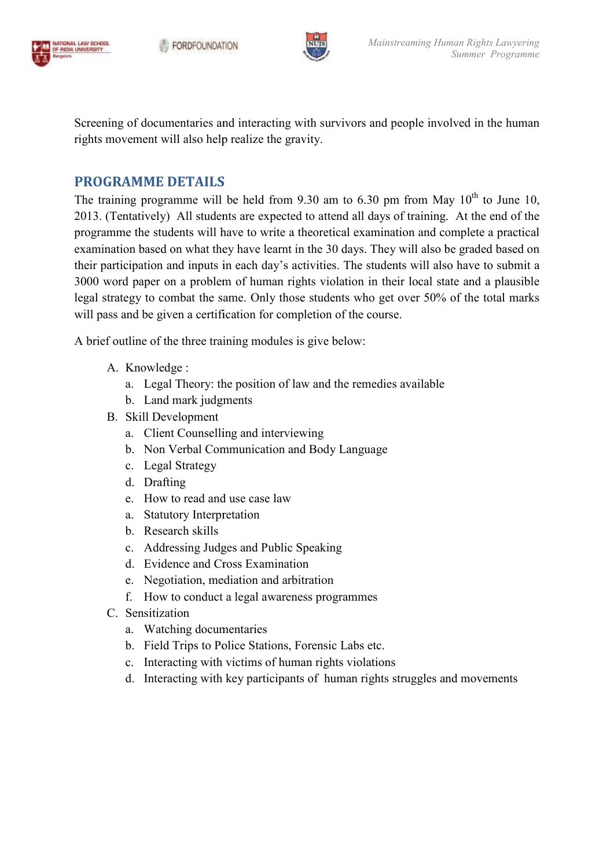



Screening of documentaries and interacting with survivors and people involved in the human rights movement will also help realize the gravity. rights movement will also help realize the gravity.

## **PROGRAMME DETAILS**

The training programme will be held from 9.30 am to 6.30 pm from May  $10^{th}$  to June 10, 2013. (Tentatively) All students are expected to attend all days of training. At the end of the programme the students will have to write a theoretical examination and complete a practical programme the students will have to write a theoretical examination and complete a practical examination based on what they have learnt in the 30 days. They will also be graded based on examination based on what they have learnt in the 30 days. They will also be graded based on their participation and inputs in each day's activities. The students will also have to submit a 3000 word paper on a problem of human rights violation in their local state and a plausible legal strategy to combat the same. Only those students who get over 50% of the total marks will pass and be given a certification for completion of the course. between of human rights violation in their local state at strategy to combat the same. Only those students who get over 50% of pass and be given a certification for completion of the course. ief outline of the three traini Summer Programme<br>
Interacting with structures and people involved in the human<br>
Interaction and the base of the properties and the properties<br>
Interactions are expected to studied from 10.000 pm from May 10<sup>th</sup> to Junc 10,

A brief outline of the three training modules is give below:

- A. Knowledge :
	- a. Legal Theory: the position of law and the remedies available
	- b. Land mark judgments
- B. Skill Development
	- a. Client Counselling and interviewing
- b. Non Verbal Communication and Body Language Particulary: the position of law and the<br>
k judgments<br>
Iment<br>
unselling and interviewing<br>
al Communication and Body La<br>
ttegy<br>
ad and use case law<br>
Interpretation<br>
skills<br>
g Judges and Public Speaking<br>
and Cross Examinatio
	- c. Legal Strategy
	- d. Drafting
	- e. How to read and use case law
	- a. Statutory Interpretation
	- b. Research skills
	- c. Addressing Judges and Public Speaking
	- d. Evidence and Cross Examination
	- e. Negotiation, mediation and arbitration
	- f. How to conduct a a legal awareness programmes
- C. Sensitization
	- a. Watching documentaries
	- b. Field Trips to Police Stations, Forensic Labs etc.
	- c. Interacting with victims of human rights violations
	- d. Interacting with key participants of human rights struggles and movements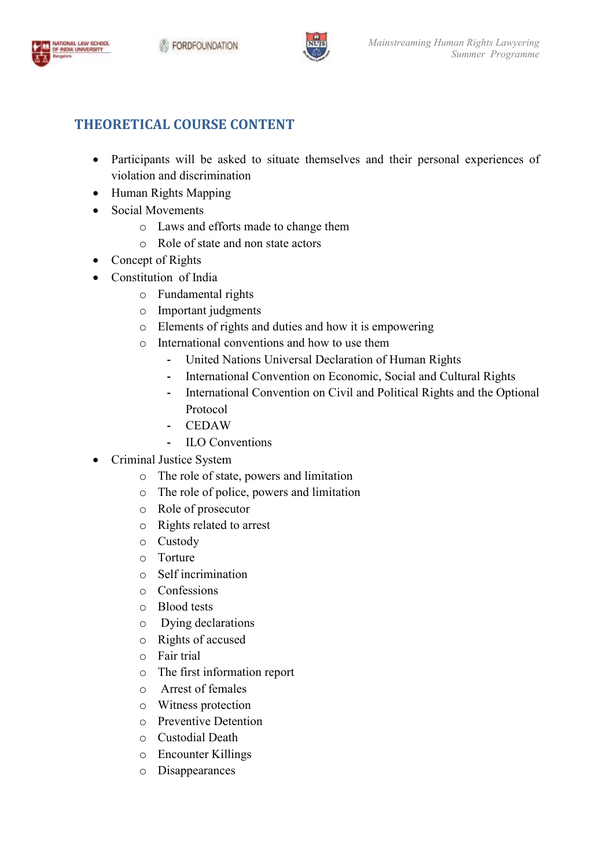



## **THEORETICAL COURSE CONTENT**

- Participants will be asked to situate themselves and their personal experiences of violation and discrimination their personal experiences of<br>powering<br>Human Rights<br>Social and Cultural Rights
- Human Rights Mapping
- Social Movements
	- o Laws and efforts made to change them
	- o Role of state and non state actors
- Concept of Rights
- Constitution of India
	- o Fundamental rights
	- o Important judgments
	- o Elements of rights and duties and how it is empowering
	- o International conventions and how to use them
		- **-** United Nations Universal Declaration of Human Rights
		- ternational conventions and how to use them<br> **-** United Nations Universal Declaration of Human Rights<br>
		 International Convention on Economic, Social and Cultural Rights
	- **-** International Convention on Civil and Political Rights and the Optional Protocol - International Convention on Civil a<br>
	Protocol<br>
	- CEDAW<br>
	- ILO Conventions<br>
	inal Justice System<br>
	o The role of state, powers and limitation<br>
	o The role of police, powers and limitation
		- **-** CEDAW
		- **-** ILO Conventions
- Criminal Justice System
	- o The role of state, powers and limitation
	-
	- o Role of prosecutor
	- o Rights related to arrest
	- o Custody
	- o Torture
	- o Self incrimination
	- o Confessions
	- o Blood tests
	- o Dying declarations
	- o Rights of accused
	- o Fair trial
	- o The first information report
	- o Arrest of females
	- o Witness protection
	- o Preventive Detention
	- o Custodial Death
	- o Encounter Killings
	- o Disappearances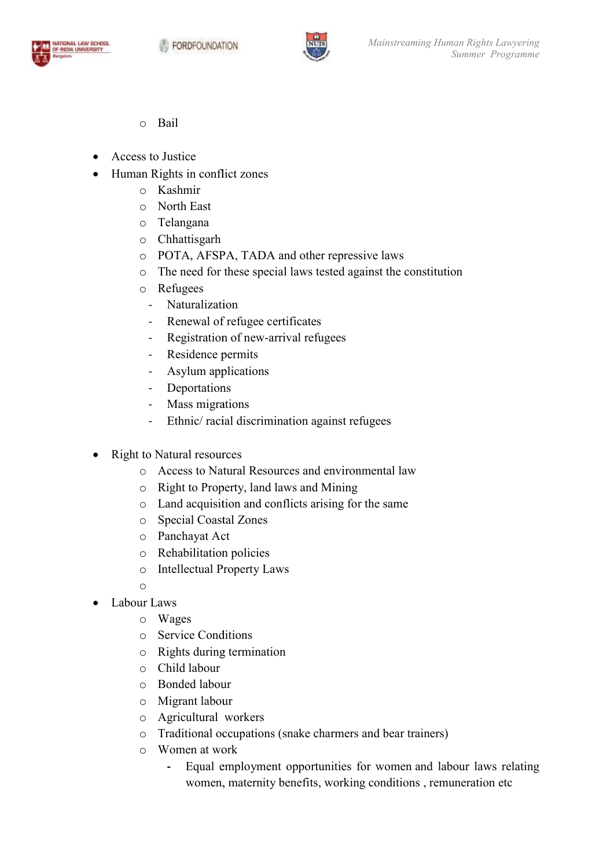



- o Bail
- Access to Justice
- Human Rights in conflict zones
	- o Kashmir
	- o North East
	- o Telangana
	- o Chhattisgarh
	- o POTA, AFSPA, TADA and other repressive laws
	- o The need for these special laws tested against the constitution
	- o Refugees
		- Naturalization
		- Renewal of refugee certificates
- Registration of new-arrival refugees TADA and other represses and other represent all laws tested and all laws tested and the mew-arrival refugees
	- Residence permits
	- Asylum applications
	- Deportations
	- Mass migrations
	- Ethnic/ racial discrimination against refugees
- Right to Natural resources
	- o Access to Natural Resources and environmental law
	- o Right to Property, land laws and Mining
	- O Land acquisition and conflicts arising for the same<br>
	 Special Coastal Zones<br>
	 Panchayat Act<br>
	 Rehabilitation policies
	- o Special Coastal Zones
	- o Panchayat Act
	- o Rehabilitation policies
	- o Intellectual Property Laws

o

- Labour Laws
	- o Wages
	- o Service Conditions
	- o Rights during termination
	- o Child labour
	- o Bonded labour
	- o Migrant labour
	- o Agricultural workers
	- o Traditional occupations (snake charmers and bear trainers)
	- o Women at work
- Equal employment opportunities for women and labour laws relating women, maternity benefits, working conditions , remuneration etc Summer *Programme*<br>
sual laws tested against the constitution<br>
rtificates<br>
rtificates<br>
prival refingees<br>
prival refingees<br>
prival refingees<br>
prival refing for the same<br>
sual Mining<br>
sual Mining<br>
sual of the same<br>
sual priv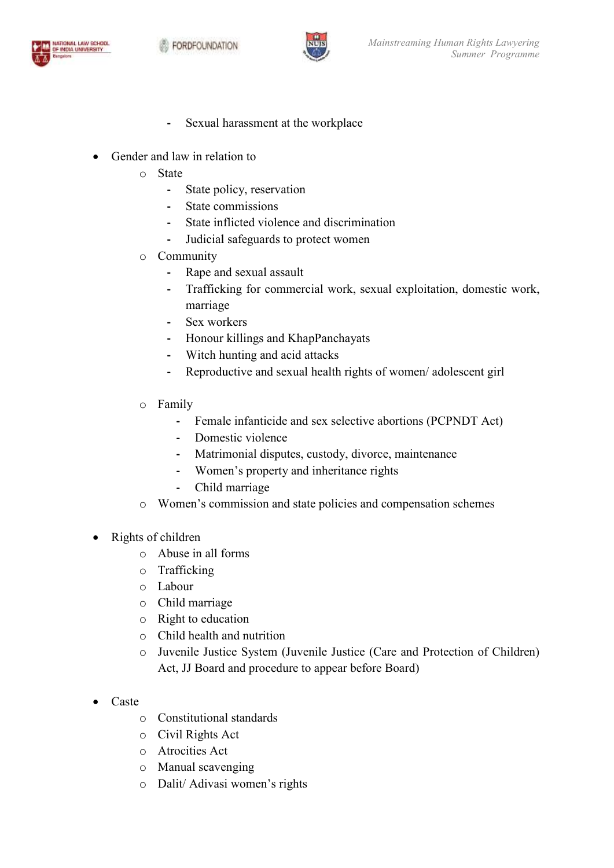

- **-** Sexual harassment at the workplace
- Gender and law in relation to
	- o State
		- **-** State policy, reservation
		- **-** State commissions
		- **-** State inflicted violence and discrimination
		- **-** Judicial safeguards to protect women
	- o Community
		- **-** Rape and sexual assault
- Formal Superiors 1<br>
Judicial safeguards to protect women<br>
Judicial sexual assault<br>
Trafficking for commercial work, sexual exploitation, domestic work, marriage exual exploitation, domestic work,<br>
s<br>
s<br>
of women/adolescent girl<br>
e abortions (PCPNDT Act)<br>
orce, maintenance<br>
rights<br>
nd compensation schemes<br>
(Care and Protection of Children)
	- **-** Sex workers
	- **-** Honour killings and KhapPanchayats
	- **-** Witch hunting and acid attacks
	- **-** Reproductive and sexual health rights of women/ adolescent girl Witch hunting and acid attacks<br>Reproductive and sexual health rights of wort<br>y<br>Female infanticide and sex selective abort<br>Domestic violence<br>Matrimonial disputes, custody, divorce, m<br>Women's property and inheritance rights
	- o Family
		- **-** Female infanticide and sex selective abortions (PCPNDT Act)
		- **-** Domestic violence
		- **-** Matrimonial disputes, custody, divorce, maintenance
		- **-** Women's
		- **-** Child marriage
	- o Women's commission and state policies and compensation schemes
- Rights of children
	- o Abuse in all forms
	- o Trafficking
	- o Labour
	- o Child marriage
	- o Right to education
	- o Child health and nutrition
- o Juvenile Justice System (Juvenile Justice (Care and Protection of Children) Act, JJ Board and procedure to appear before Board) Sonner Programme<br> **Summer Programme**<br> **a** devia relation to<br> **State policy, reservation**<br> **-** State policy, reservation<br> **-** State influcted violence and discrimination<br> **-** Judicial sateganeds to protect women<br> **Community**
- Caste
	- o Constitutional standards
	- o Civil Rights Act
	- o Atrocities Act
	- o Manual scavenging
	- o Dalit/ Adivasi women's rights